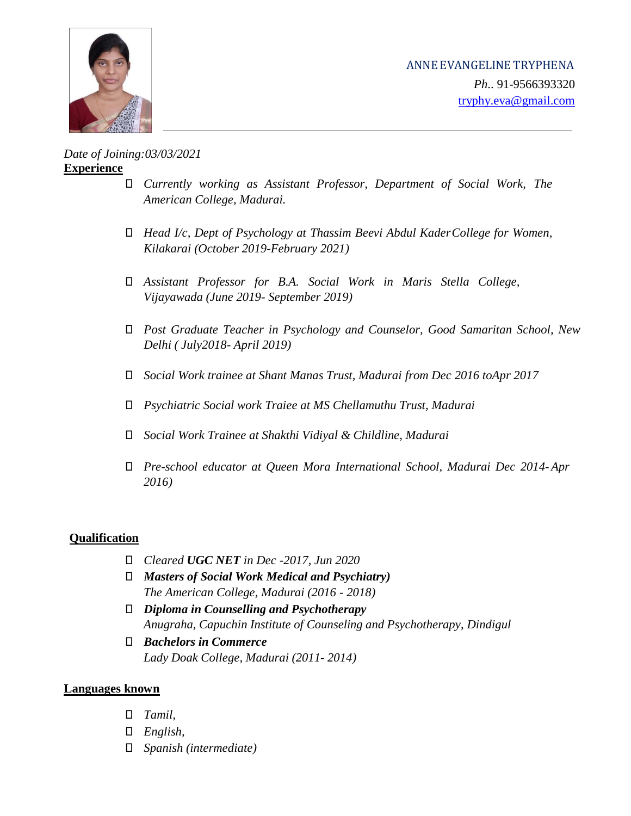

*Date of Joining:03/03/2021* **Experience**

- ⮚ *Currently working as Assistant Professor, Department of Social Work, The American College, Madurai.*
- ⮚ *Head I/c, Dept of Psychology at Thassim Beevi Abdul KaderCollege for Women, Kilakarai (October 2019-February 2021)*
- ⮚ *Assistant Professor for B.A. Social Work in Maris Stella College, Vijayawada (June 2019- September 2019)*
- ⮚ *Post Graduate Teacher in Psychology and Counselor, Good Samaritan School, New Delhi ( July2018- April 2019)*
- ⮚ *Social Work trainee at Shant Manas Trust, Madurai from Dec 2016 toApr 2017*
- ⮚ *Psychiatric Social work Traiee at MS Chellamuthu Trust, Madurai*
- ⮚ *Social Work Trainee at Shakthi Vidiyal & Childline, Madurai*
- ⮚ *Pre-school educator at Queen Mora International School, Madurai Dec 2014-Apr 2016)*

## **Qualification**

- ⮚ *Cleared UGC NET in Dec -2017, Jun 2020*
- ⮚ *Masters of Social Work Medical and Psychiatry) The American College, Madurai (2016 - 2018)*
- ⮚ *Diploma in Counselling and Psychotherapy Anugraha, Capuchin Institute of Counseling and Psychotherapy, Dindigul*
- ⮚ *Bachelors in Commerce Lady Doak College, Madurai (2011- 2014)*

## **Languages known**

- ⮚ *Tamil,*
- ⮚ *English,*
- ⮚ *Spanish (intermediate)*